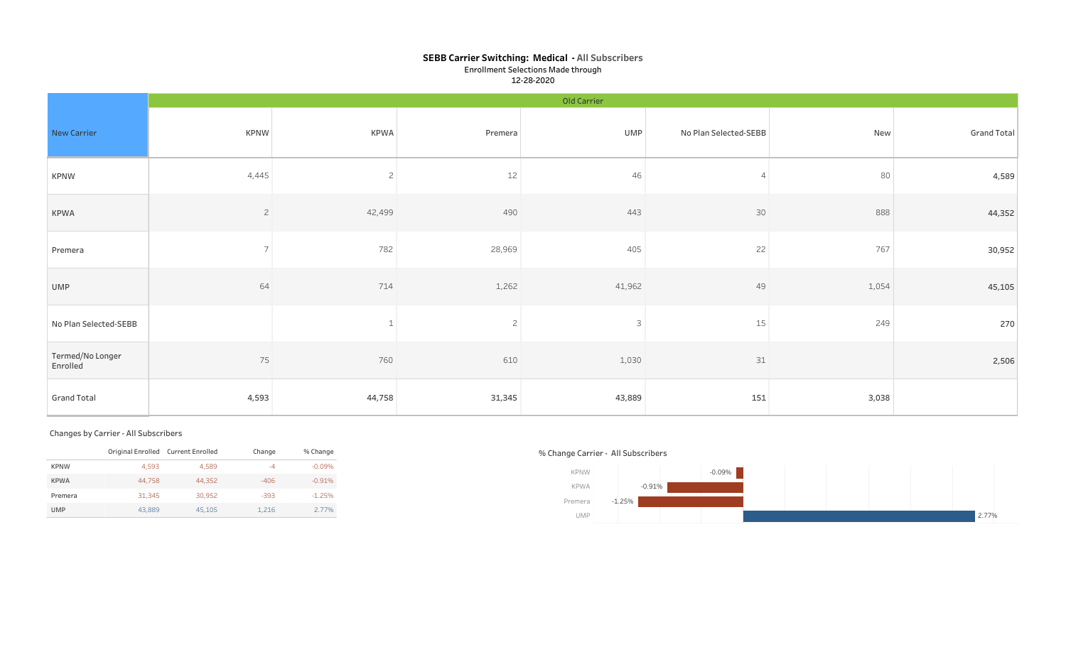## SEBB Carrier Switching: Medical - All Subscribers Enrollment Selections Made through 12-28-2020

|                              | Old Carrier              |                |                |        |                       |       |                    |  |  |  |  |  |  |
|------------------------------|--------------------------|----------------|----------------|--------|-----------------------|-------|--------------------|--|--|--|--|--|--|
| New Carrier                  | <b>KPNW</b>              | KPWA           | Premera        | UMP    | No Plan Selected-SEBB | New   | <b>Grand Total</b> |  |  |  |  |  |  |
| <b>KPNW</b>                  | 4,445                    | $\overline{2}$ | $12$           | 46     |                       | 80    | 4,589              |  |  |  |  |  |  |
| <b>KPWA</b>                  | $\overline{c}$           | 42,499         | 490            | 443    | 30                    | 888   | 44,352             |  |  |  |  |  |  |
| Premera                      | $\overline{\phantom{0}}$ | 782            | 28,969         | 405    | 22                    | 767   | 30,952             |  |  |  |  |  |  |
| UMP                          | 64                       | 714            | 1,262          | 41,962 | 49                    | 1,054 | 45,105             |  |  |  |  |  |  |
| No Plan Selected-SEBB        |                          |                | $\overline{c}$ | 3      | $15\,$                | 249   | 270                |  |  |  |  |  |  |
| Termed/No Longer<br>Enrolled | 75                       | 760            | 610            | 1,030  | $31\,$                |       | 2,506              |  |  |  |  |  |  |
| <b>Grand Total</b>           | 4,593                    | 44,758         | 31,345         | 43,889 | 151                   | 3,038 |                    |  |  |  |  |  |  |

#### Changes by Carrier - All Subscribers

|             | Original Enrolled Current Enrolled |        | Change | % Change |
|-------------|------------------------------------|--------|--------|----------|
| <b>KPNW</b> | 4.593                              | 4.589  | -4     | $-0.09%$ |
| <b>KPWA</b> | 44.758                             | 44.352 | $-406$ | $-0.91%$ |
| Premera     | 31,345                             | 30.952 | $-393$ | $-1.25%$ |
| <b>UMP</b>  | 43.889                             | 45,105 | 1.216  | 2.77%    |

## % Change Carrier - All Subscribers

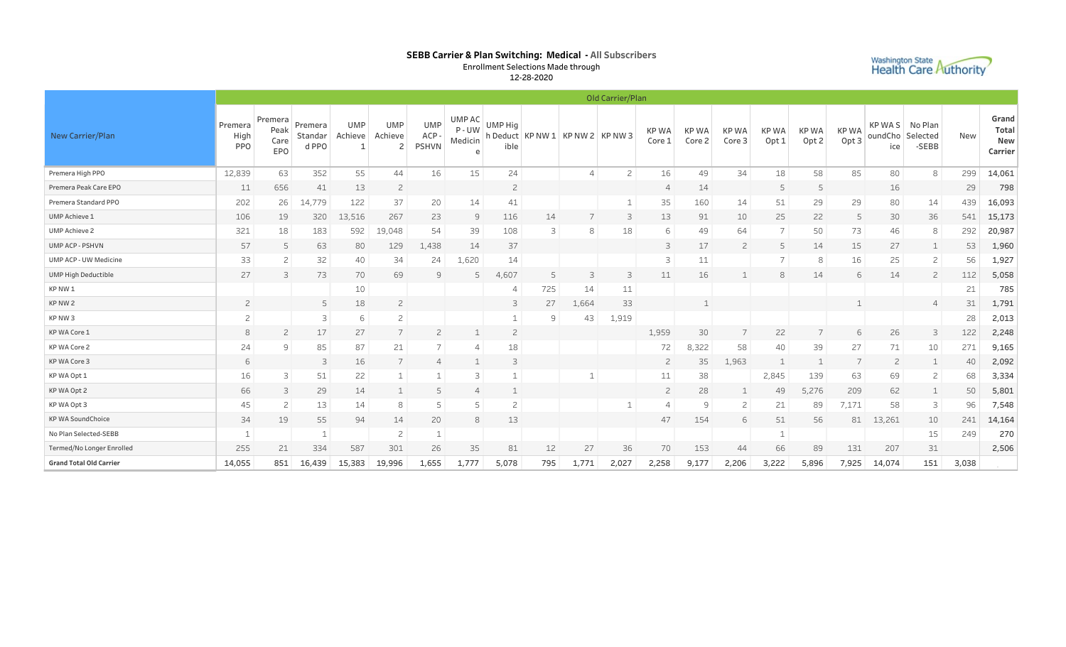## SEBB Carrier & Plan Switching: Medical - All Subscribers Enrollment Selections Made through

12-28-2020

| <b>Washington State</b>      |  |
|------------------------------|--|
| <b>Health Care Authority</b> |  |
|                              |  |

|                                | Old Carrier/Plan              |                                |                             |                       |                                         |                                     |                           |                 |                    |                 |                |                       |                 |                       |                                 |                                 |                                 |                          |                              |            |                                  |
|--------------------------------|-------------------------------|--------------------------------|-----------------------------|-----------------------|-----------------------------------------|-------------------------------------|---------------------------|-----------------|--------------------|-----------------|----------------|-----------------------|-----------------|-----------------------|---------------------------------|---------------------------------|---------------------------------|--------------------------|------------------------------|------------|----------------------------------|
| New Carrier/Plan               | Premera<br>High<br><b>PPO</b> | Premera<br>Peak<br>Care<br>EPO | Premera<br>Standar<br>d PPO | <b>UMP</b><br>Achieve | <b>UMP</b><br>Achieve<br>$\overline{c}$ | <b>UMP</b><br>ACP -<br><b>PSHVN</b> | UMP AC<br>P-UW<br>Medicin | UMP Hig<br>ible | h Deduct   KP NW 1 | KP NW 2 KP NW 3 |                | <b>KPWA</b><br>Core 1 | KP WA<br>Core 2 | <b>KPWA</b><br>Core 3 | <b>KPWA</b><br>Opt <sub>1</sub> | <b>KPWA</b><br>Opt <sub>2</sub> | <b>KPWA</b><br>Opt <sub>3</sub> | KP WAS<br>oundCho<br>ice | No Plan<br>Selected<br>-SEBB | <b>New</b> | Grand<br>Total<br>New<br>Carrier |
| Premera High PPO               | 12,839                        | 63                             | 352                         | 55                    | 44                                      | 16                                  | 15                        | 24              |                    | 4               | $\overline{c}$ | 16                    | 49              | 34                    | 18                              | 58                              | 85                              | 80                       | 8                            | 299        | 14,061                           |
| Premera Peak Care EPO          | 11                            | 656                            | 41                          | 13                    | $\overline{c}$                          |                                     |                           | $\overline{c}$  |                    |                 |                | $\overline{4}$        | 14              |                       | 5                               | 5                               |                                 | 16                       |                              | 29         | 798                              |
| Premera Standard PPO           | 202                           | 26                             | 14,779                      | 122                   | 37                                      | 20                                  | 14                        | 41              |                    |                 | 1              | 35                    | 160             | 14                    | 51                              | 29                              | 29                              | 80                       | 14                           | 439        | 16,093                           |
| <b>UMP Achieve 1</b>           | 106                           | 19                             | 320                         | 13,516                | 267                                     | 23                                  | 9                         | 116             | 14                 |                 | 3              | 13                    | 91              | 10                    | 25                              | 22                              | 5                               | 30                       | 36                           | 541        | 15,173                           |
| <b>UMP Achieve 2</b>           | 321                           | 18                             | 183                         | 592                   | 19,048                                  | 54                                  | 39                        | 108             | 3                  | 8               | 18             | 6                     | 49              | 64                    | 7                               | 50                              | 73                              | 46                       | 8                            | 292        | 20,987                           |
| UMP ACP - PSHVN                | 57                            | 5                              | 63                          | 80                    | 129                                     | 1,438                               | 14                        | 37              |                    |                 |                | 3                     | 17              | $\overline{c}$        | 5                               | 14                              | 15                              | 27                       | 1                            | 53         | 1,960                            |
| <b>UMP ACP - UW Medicine</b>   | 33                            | $\overline{c}$                 | 32                          | 40                    | 34                                      | 24                                  | 1,620                     | 14              |                    |                 |                | 3                     | 11              |                       | $\overline{7}$                  | 8                               | 16                              | 25                       | $\mathsf{S}$                 | 56         | 1,927                            |
| <b>UMP High Deductible</b>     | 27                            | 3                              | 73                          | 70                    | 69                                      | 9                                   | 5                         | 4,607           |                    | 3               | 3              | 11                    | 16              |                       | 8                               | 14                              | 6                               | 14                       | $\overline{2}$               | 112        | 5,058                            |
| KP NW 1                        |                               |                                |                             | 10                    |                                         |                                     |                           |                 | 725                | 14              | 11             |                       |                 |                       |                                 |                                 |                                 |                          |                              | 21         | 785                              |
| KP NW 2                        | $\overline{c}$                |                                | 5                           | 18                    | $\overline{c}$                          |                                     |                           | 3               | 27                 | 1,664           | 33             |                       | $\mathbf{1}$    |                       |                                 |                                 |                                 |                          | $\Delta$                     | 31         | 1,791                            |
| KP NW 3                        | $\overline{c}$                |                                | 3                           | 6                     | $\overline{c}$                          |                                     |                           |                 | 9                  | 43              | 1,919          |                       |                 |                       |                                 |                                 |                                 |                          |                              | 28         | 2,013                            |
| KP WA Core 1                   | 8                             | $\overline{c}$                 | 17                          | 27                    |                                         | 2                                   |                           | $\overline{c}$  |                    |                 |                | 1,959                 | 30              |                       | 22                              |                                 | 6                               | 26                       | 3                            | 122        | 2,248                            |
| KP WA Core 2                   | 24                            | 9                              | 85                          | 87                    | 21                                      | 7                                   | 4                         | 18              |                    |                 |                | 72                    | ,322            | 58                    | 40                              | 39                              | 27                              | 71                       | 10                           | 271        | 9,165                            |
| KP WA Core 3                   | 6                             |                                | 3                           | 16                    |                                         | 4                                   |                           | 3               |                    |                 |                | $\overline{c}$        | 35              | 1,963                 |                                 | $\mathbf{1}$                    | 7                               | 2                        | 1                            | 40         | 2,092                            |
| KP WA Opt 1                    | 16                            | 3                              | 51                          | 22                    |                                         |                                     | 3                         |                 |                    | -1              |                | 11                    | 38              |                       | 2,845                           | 139                             | 63                              | 69                       | $\mathsf{S}$                 | 68         | 3,334                            |
| KP WA Opt 2                    | 66                            | 3                              | 29                          | 14                    |                                         | 5                                   | $\overline{4}$            |                 |                    |                 |                | $\overline{c}$        | 28              |                       | 49                              | 5,276                           | 209                             | 62                       | 1                            | 50         | 5,801                            |
| KP WA Opt 3                    | 45                            | $\mathbf{2}$                   | 13                          | 14                    | 8                                       | 5                                   | 5                         | $\overline{c}$  |                    |                 | $\mathbf{1}$   |                       | 9               | $\overline{c}$        | 21                              | 89                              | 7,171                           | 58                       | 3                            | 96         | 7,548                            |
| <b>KP WA SoundChoice</b>       | 34                            | 19                             | 55                          | 94                    | 14                                      | 20                                  | 8                         | 13              |                    |                 |                | 47                    | 154             | 6                     | 51                              | 56                              | 81                              | 13,261                   | 10                           | 241        | 14,164                           |
| No Plan Selected-SEBB          |                               |                                |                             |                       | $\overline{c}$                          |                                     |                           |                 |                    |                 |                |                       |                 |                       |                                 |                                 |                                 |                          | 15                           | 249        | 270                              |
| Termed/No Longer Enrolled      | 255                           | 21                             | 334                         | 587                   | 301                                     | 26                                  | 35                        | 81              | 12                 | 27              | 36             | 70                    | 153             | 44                    | 66                              | 89                              | 131                             | 207                      | 31                           |            | 2,506                            |
| <b>Grand Total Old Carrier</b> | 14,055                        | 851                            | 16,439                      | 15,383                | 19,996                                  | 1,655                               | 1,777                     | 5,078           | 795                | 1,771           | 2,027          | 2,258                 | 9,177           | 2,206                 | 3,222                           | 5,896                           | 7,925                           | 14,074                   | 151                          | 3,038      |                                  |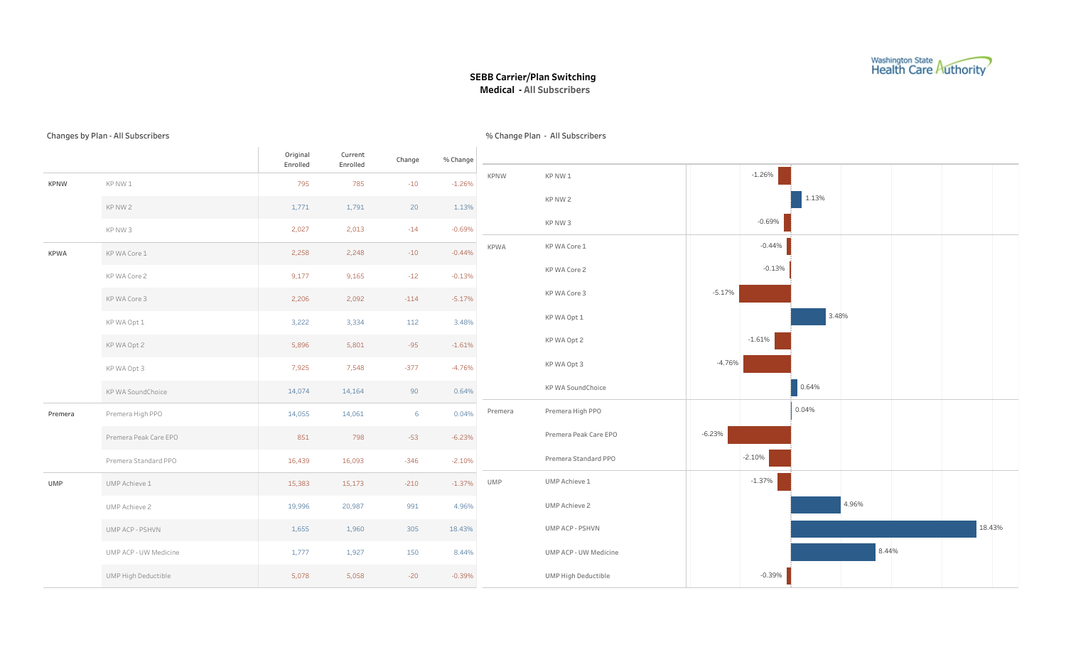

### SEBB Carrier/Plan Switching Medical - All Subscribers

#### Changes by Plan - All Subscribers

Original Enrolled Current Enrolled Change %Change KPNW KPNW 1 KPNW 2 KPNW 3 KPWA KPWACore 1 KPWACore2 KPWACore3 KPWAOpt1 KPWAOpt2 KPWAOpt3 KP WA SoundChoice Premera Premera High PPO Premera Peak Care EPO Premera Standard PPO UMP UMP Achieve 1 UMPAchieve2 UMPACP-PSHVN UMPACP-UW Medicine UMP High Deductible -0.69% 1.13% -1.26% -14 20 -10 2,013 1,791 785 2,027 1,771 795 0.64% -4.76% -1.61% 3.48% -5.17% -0.13% -0.44% 90 -377 -95 112 -114 -12 -10 14,164 7,548 5,801 3,334 2,092 9,165 2,248 14,074 7,925 5,896 3,222 2,206 9,177 2,258 -2.10% -6.23% 0.04% -346 -53 6 16,093 798 14,061 16,439 851 14,055 -0.39% 8.44% 18.43% 4.96% -1.37% -20 150 305 991 -210 5,058 1,927 1,960 20,987 15,173 5,078 1,777 1,655 19,996 15,383 KPNW KPNW 1 KPNW 2 KPNW 3 KPWA KPWA Core 1 KPWACore2 KPWACore3 KPWAOpt1 KPWAOpt2 KPWAOpt3 KPWASoundChoice Premera Premera High PPO Premera Peak Care EPO Premera Standard PPO UMP UMP Achieve 1 UMP Achieve 2 UMPACP-PSHVN UMPACP-UW Medicine UMP High Deductible -0.69%  $1.13%$ -1.26% 0.64% -4.76% -1.61% 3.48% -5.17% -0.13% -0.44% -2.10% -6.23% 0.04% -0.39% 8.44% 18.43% 4.96% -1.37%

% Change Plan - All Subscribers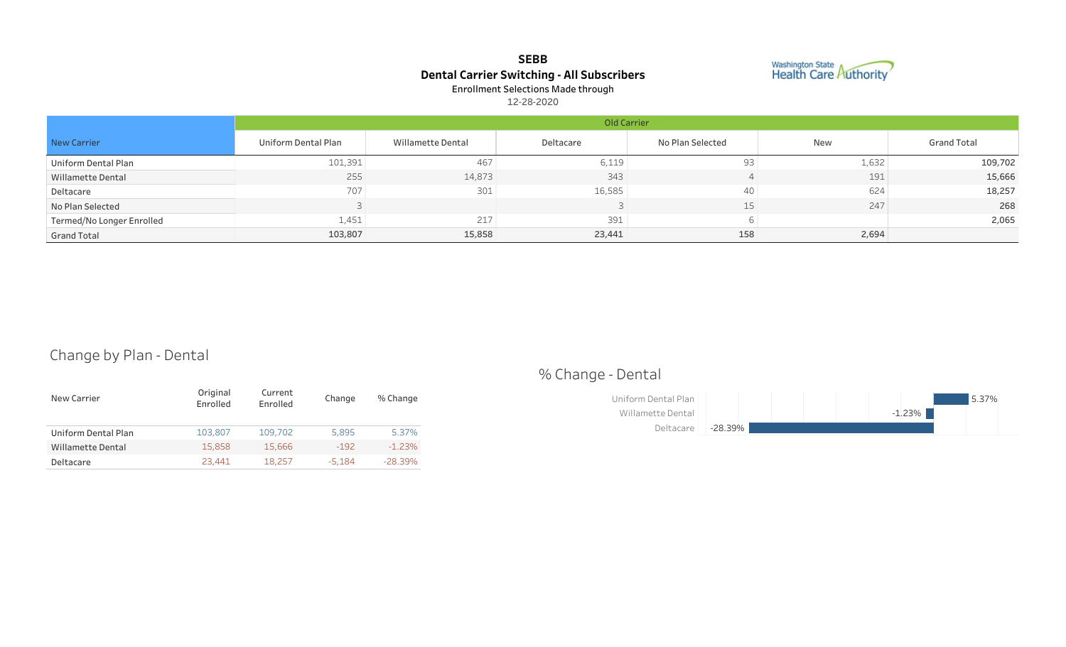# SEBB Dental Carrier Switching - All Subscribers Enrollment Selections Made through



12-28-2020

|                           | Old Carrier         |                   |           |                  |            |                    |  |  |  |  |  |  |
|---------------------------|---------------------|-------------------|-----------|------------------|------------|--------------------|--|--|--|--|--|--|
| New Carrier               | Uniform Dental Plan | Willamette Dental | Deltacare | No Plan Selected | <b>New</b> | <b>Grand Total</b> |  |  |  |  |  |  |
| Uniform Dental Plan       | 101,391             | 467               | 6,119     | 93               | 1,632      | 109,702            |  |  |  |  |  |  |
| Willamette Dental         | 255                 | 14,873            | 343       |                  | 191        | 15,666             |  |  |  |  |  |  |
| Deltacare                 | 707                 | 301               | 16,585    | 40               | 624        | 18,257             |  |  |  |  |  |  |
| No Plan Selected          |                     |                   |           | 15               | 247        | 268                |  |  |  |  |  |  |
| Termed/No Longer Enrolled | 1,451               | 217               | 391       |                  |            | 2,065              |  |  |  |  |  |  |
| <b>Grand Total</b>        | 103,807             | 15,858            | 23,441    | 158              | 2,694      |                    |  |  |  |  |  |  |

# Change by Plan - Dental

| New Carrier              | Original<br>Enrolled | Current<br>Enrolled | Change | % Change  |
|--------------------------|----------------------|---------------------|--------|-----------|
| Uniform Dental Plan      | 103,807              | 109,702             | 5.895  | 5.37%     |
| <b>Willamette Dental</b> | 15,858               | 15,666              | $-192$ | $-1.23%$  |
| Deltacare                | 23,441               | 18,257              | -5.184 | $-28.39%$ |

# %Change-Dental